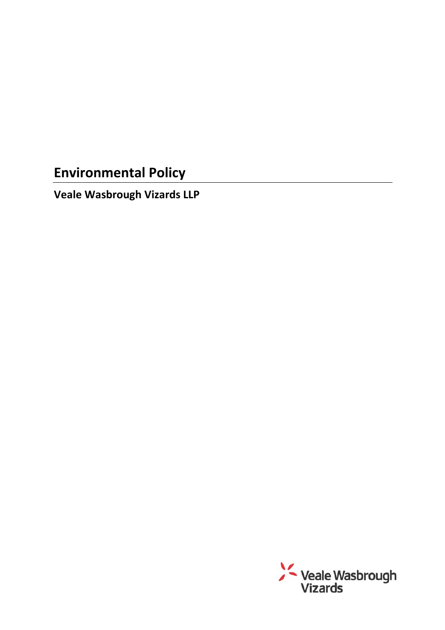# **Environmental Policy**

**Veale Wasbrough Vizards LLP** 

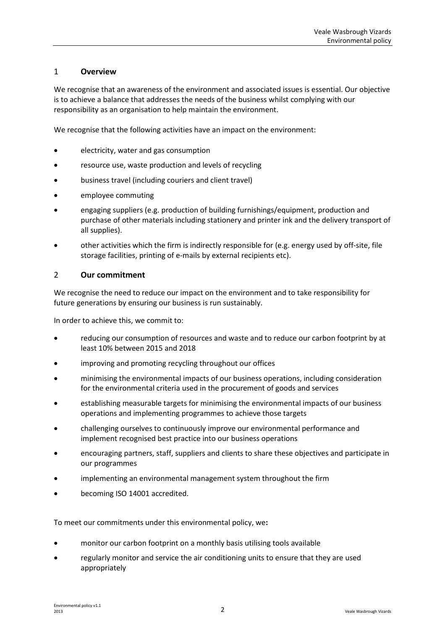# 1 **Overview**

We recognise that an awareness of the environment and associated issues is essential. Our objective is to achieve a balance that addresses the needs of the business whilst complying with our responsibility as an organisation to help maintain the environment.

We recognise that the following activities have an impact on the environment:

- electricity, water and gas consumption
- resource use, waste production and levels of recycling
- business travel (including couriers and client travel)
- employee commuting
- engaging suppliers (e.g. production of building furnishings/equipment, production and purchase of other materials including stationery and printer ink and the delivery transport of all supplies).
- other activities which the firm is indirectly responsible for (e.g. energy used by off-site, file storage facilities, printing of e-mails by external recipients etc).

## 2 **Our commitment**

We recognise the need to reduce our impact on the environment and to take responsibility for future generations by ensuring our business is run sustainably.

In order to achieve this, we commit to:

- reducing our consumption of resources and waste and to reduce our carbon footprint by at least 10% between 2015 and 2018
- improving and promoting recycling throughout our offices
- minimising the environmental impacts of our business operations, including consideration for the environmental criteria used in the procurement of goods and services
- establishing measurable targets for minimising the environmental impacts of our business operations and implementing programmes to achieve those targets
- challenging ourselves to continuously improve our environmental performance and implement recognised best practice into our business operations
- encouraging partners, staff, suppliers and clients to share these objectives and participate in our programmes
- implementing an environmental management system throughout the firm
- becoming ISO 14001 accredited.

To meet our commitments under this environmental policy, we**:** 

- monitor our carbon footprint on a monthly basis utilising tools available
- regularly monitor and service the air conditioning units to ensure that they are used appropriately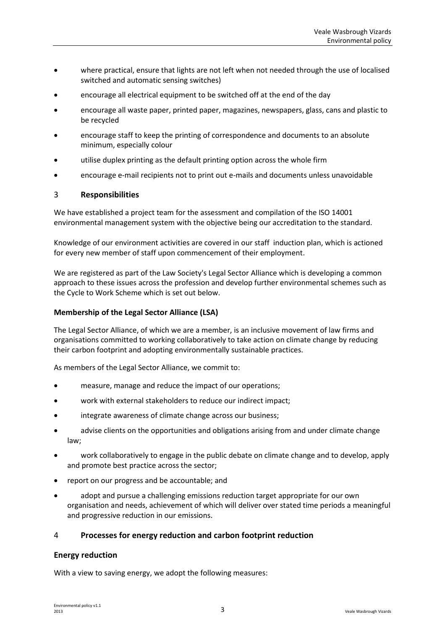- where practical, ensure that lights are not left when not needed through the use of localised switched and automatic sensing switches)
- encourage all electrical equipment to be switched off at the end of the day
- encourage all waste paper, printed paper, magazines, newspapers, glass, cans and plastic to be recycled
- encourage staff to keep the printing of correspondence and documents to an absolute minimum, especially colour
- utilise duplex printing as the default printing option across the whole firm
- encourage e-mail recipients not to print out e-mails and documents unless unavoidable

## 3 **Responsibilities**

We have established a project team for the assessment and compilation of the ISO 14001 environmental management system with the objective being our accreditation to the standard.

Knowledge of our environment activities are covered in our staff induction plan, which is actioned for every new member of staff upon commencement of their employment.

We are registered as part of the Law Society's Legal Sector Alliance which is developing a common approach to these issues across the profession and develop further environmental schemes such as the Cycle to Work Scheme which is set out below.

## **Membership of the Legal Sector Alliance (LSA)**

The Legal Sector Alliance, of which we are a member, is an inclusive movement of law firms and organisations committed to working collaboratively to take action on climate change by reducing their carbon footprint and adopting environmentally sustainable practices.

As members of the Legal Sector Alliance, we commit to:

- measure, manage and reduce the impact of our operations;
- work with external stakeholders to reduce our indirect impact;
- integrate awareness of climate change across our business:
- advise clients on the opportunities and obligations arising from and under climate change law;
- work collaboratively to engage in the public debate on climate change and to develop, apply and promote best practice across the sector;
- report on our progress and be accountable; and
- adopt and pursue a challenging emissions reduction target appropriate for our own organisation and needs, achievement of which will deliver over stated time periods a meaningful and progressive reduction in our emissions.

# 4 **Processes for energy reduction and carbon footprint reduction**

#### **Energy reduction**

With a view to saving energy, we adopt the following measures: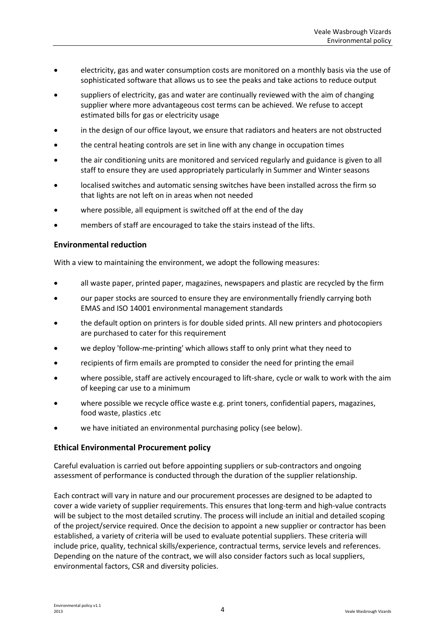- electricity, gas and water consumption costs are monitored on a monthly basis via the use of sophisticated software that allows us to see the peaks and take actions to reduce output
- suppliers of electricity, gas and water are continually reviewed with the aim of changing supplier where more advantageous cost terms can be achieved. We refuse to accept estimated bills for gas or electricity usage
- in the design of our office layout, we ensure that radiators and heaters are not obstructed
- the central heating controls are set in line with any change in occupation times
- the air conditioning units are monitored and serviced regularly and guidance is given to all staff to ensure they are used appropriately particularly in Summer and Winter seasons
- localised switches and automatic sensing switches have been installed across the firm so that lights are not left on in areas when not needed
- where possible, all equipment is switched off at the end of the day
- members of staff are encouraged to take the stairs instead of the lifts.

## **Environmental reduction**

With a view to maintaining the environment, we adopt the following measures:

- all waste paper, printed paper, magazines, newspapers and plastic are recycled by the firm
- our paper stocks are sourced to ensure they are environmentally friendly carrying both EMAS and ISO 14001 environmental management standards
- the default option on printers is for double sided prints. All new printers and photocopiers are purchased to cater for this requirement
- we deploy 'follow-me-printing' which allows staff to only print what they need to
- recipients of firm emails are prompted to consider the need for printing the email
- where possible, staff are actively encouraged to lift-share, cycle or walk to work with the aim of keeping car use to a minimum
- where possible we recycle office waste e.g. print toners, confidential papers, magazines, food waste, plastics .etc
- we have initiated an environmental purchasing policy (see below).

#### **Ethical Environmental Procurement policy**

Careful evaluation is carried out before appointing suppliers or sub-contractors and ongoing assessment of performance is conducted through the duration of the supplier relationship.

Each contract will vary in nature and our procurement processes are designed to be adapted to cover a wide variety of supplier requirements. This ensures that long-term and high-value contracts will be subject to the most detailed scrutiny. The process will include an initial and detailed scoping of the project/service required. Once the decision to appoint a new supplier or contractor has been established, a variety of criteria will be used to evaluate potential suppliers. These criteria will include price, quality, technical skills/experience, contractual terms, service levels and references. Depending on the nature of the contract, we will also consider factors such as local suppliers, environmental factors, CSR and diversity policies.